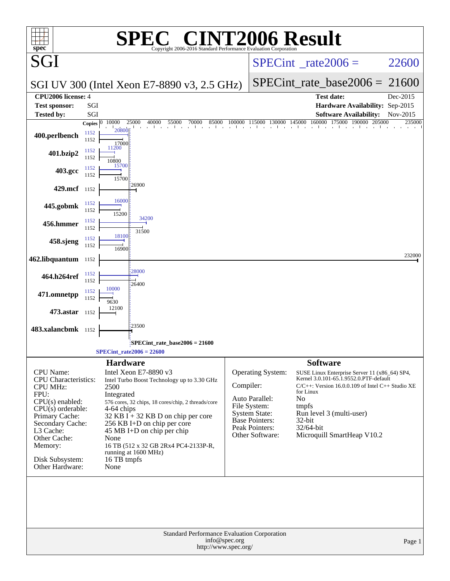| spec <sup>®</sup>                                                                                                                                                                                                                        |              |                                                                                    |                                                                                                            | $\mathbf{P}(\mathbb{R})$<br>Copyright 2006-2016 Standard Performance Evaluation Corporation                                                                                     |                                       |                                                                                                                                    | <b>VT2006 Result</b>                                                                                                                                                                                                                                                             |          |
|------------------------------------------------------------------------------------------------------------------------------------------------------------------------------------------------------------------------------------------|--------------|------------------------------------------------------------------------------------|------------------------------------------------------------------------------------------------------------|---------------------------------------------------------------------------------------------------------------------------------------------------------------------------------|---------------------------------------|------------------------------------------------------------------------------------------------------------------------------------|----------------------------------------------------------------------------------------------------------------------------------------------------------------------------------------------------------------------------------------------------------------------------------|----------|
| SGI                                                                                                                                                                                                                                      |              |                                                                                    |                                                                                                            |                                                                                                                                                                                 |                                       |                                                                                                                                    | $SPECint^{\circ}$ rate 2006 =                                                                                                                                                                                                                                                    | 22600    |
|                                                                                                                                                                                                                                          |              |                                                                                    |                                                                                                            | SGI UV 300 (Intel Xeon E7-8890 v3, 2.5 GHz)                                                                                                                                     |                                       |                                                                                                                                    | $SPECint_rate\_base2006 =$                                                                                                                                                                                                                                                       | 21600    |
| CPU2006 license: 4                                                                                                                                                                                                                       |              |                                                                                    |                                                                                                            |                                                                                                                                                                                 |                                       |                                                                                                                                    | <b>Test date:</b>                                                                                                                                                                                                                                                                | Dec-2015 |
| <b>Test sponsor:</b><br><b>Tested by:</b>                                                                                                                                                                                                | SGI<br>SGI   |                                                                                    |                                                                                                            |                                                                                                                                                                                 |                                       |                                                                                                                                    | Hardware Availability: Sep-2015<br><b>Software Availability:</b>                                                                                                                                                                                                                 | Nov-2015 |
|                                                                                                                                                                                                                                          | Copies $ 0 $ | 10000                                                                              | 25000<br>40000                                                                                             | 85000<br>55000<br>70000                                                                                                                                                         | 100000                                | 115000<br>130000                                                                                                                   | 160000<br>175000<br>145000<br>190000<br>205000                                                                                                                                                                                                                                   | 235000   |
| 400.perlbench                                                                                                                                                                                                                            | 1152<br>1152 | 20800<br>17000                                                                     |                                                                                                            |                                                                                                                                                                                 |                                       |                                                                                                                                    |                                                                                                                                                                                                                                                                                  |          |
| 401.bzip2                                                                                                                                                                                                                                | 1152<br>1152 | 11200<br>10800                                                                     |                                                                                                            |                                                                                                                                                                                 |                                       |                                                                                                                                    |                                                                                                                                                                                                                                                                                  |          |
| 403.gcc                                                                                                                                                                                                                                  | 1152<br>1152 | 15700<br>15700                                                                     |                                                                                                            |                                                                                                                                                                                 |                                       |                                                                                                                                    |                                                                                                                                                                                                                                                                                  |          |
| 429.mcf 1152                                                                                                                                                                                                                             |              |                                                                                    | 26900                                                                                                      |                                                                                                                                                                                 |                                       |                                                                                                                                    |                                                                                                                                                                                                                                                                                  |          |
| 445.gobmk                                                                                                                                                                                                                                | 1152<br>1152 | 16000                                                                              |                                                                                                            |                                                                                                                                                                                 |                                       |                                                                                                                                    |                                                                                                                                                                                                                                                                                  |          |
| 456.hmmer                                                                                                                                                                                                                                | 1152<br>1152 | 15200                                                                              | 34200                                                                                                      |                                                                                                                                                                                 |                                       |                                                                                                                                    |                                                                                                                                                                                                                                                                                  |          |
| 458.sjeng                                                                                                                                                                                                                                | 1152<br>1152 | 18100                                                                              | 31500                                                                                                      |                                                                                                                                                                                 |                                       |                                                                                                                                    |                                                                                                                                                                                                                                                                                  |          |
| 462.libquantum 1152                                                                                                                                                                                                                      |              | 16900                                                                              |                                                                                                            |                                                                                                                                                                                 |                                       |                                                                                                                                    |                                                                                                                                                                                                                                                                                  | 232000   |
| 464.h264ref                                                                                                                                                                                                                              | 1152<br>1152 |                                                                                    | 28000                                                                                                      |                                                                                                                                                                                 |                                       |                                                                                                                                    |                                                                                                                                                                                                                                                                                  |          |
| 471.omnetpp                                                                                                                                                                                                                              | 1152         | 10000                                                                              | 26400                                                                                                      |                                                                                                                                                                                 |                                       |                                                                                                                                    |                                                                                                                                                                                                                                                                                  |          |
| 473.astar 1152                                                                                                                                                                                                                           | 1152         | 9630<br>12100                                                                      |                                                                                                            |                                                                                                                                                                                 |                                       |                                                                                                                                    |                                                                                                                                                                                                                                                                                  |          |
| 483.xalancbmk 1152                                                                                                                                                                                                                       |              |                                                                                    | 23500                                                                                                      |                                                                                                                                                                                 |                                       |                                                                                                                                    |                                                                                                                                                                                                                                                                                  |          |
|                                                                                                                                                                                                                                          |              |                                                                                    |                                                                                                            | :SPECint_rate_base2006 = 21600                                                                                                                                                  |                                       |                                                                                                                                    |                                                                                                                                                                                                                                                                                  |          |
|                                                                                                                                                                                                                                          |              |                                                                                    | SPECint rate $2006 = 22600$                                                                                |                                                                                                                                                                                 |                                       |                                                                                                                                    |                                                                                                                                                                                                                                                                                  |          |
| <b>CPU</b> Name:<br><b>CPU</b> Characteristics:<br><b>CPU MHz:</b><br>FPU:<br>CPU(s) enabled:<br>$CPU(s)$ orderable:<br>Primary Cache:<br>Secondary Cache:<br>L3 Cache:<br>Other Cache:<br>Memory:<br>Disk Subsystem:<br>Other Hardware: |              | <b>Hardware</b><br>2500<br>Integrated<br>4-64 chips<br>None<br>16 TB tmpfs<br>None | Intel Xeon E7-8890 v3<br>256 KB I+D on chip per core<br>45 MB I+D on chip per chip<br>running at 1600 MHz) | Intel Turbo Boost Technology up to 3.30 GHz<br>576 cores, 32 chips, 18 cores/chip, 2 threads/core<br>32 KB I + 32 KB D on chip per core<br>16 TB (512 x 32 GB 2Rx4 PC4-2133P-R, | Compiler:                             | Operating System:<br>Auto Parallel:<br>File System:<br><b>System State:</b><br>Base Pointers:<br>Peak Pointers:<br>Other Software: | <b>Software</b><br>SUSE Linux Enterprise Server 11 (x86_64) SP4,<br>Kernel 3.0.101-65.1.9552.0.PTF-default<br>$C/C++$ : Version 16.0.0.109 of Intel $C++$ Studio XE<br>for Linux<br>No<br>tmpfs<br>Run level 3 (multi-user)<br>32-bit<br>32/64-bit<br>Microquill SmartHeap V10.2 |          |
|                                                                                                                                                                                                                                          |              |                                                                                    |                                                                                                            | Standard Performance Evaluation Corporation                                                                                                                                     | info@spec.org<br>http://www.spec.org/ |                                                                                                                                    |                                                                                                                                                                                                                                                                                  | Page 1   |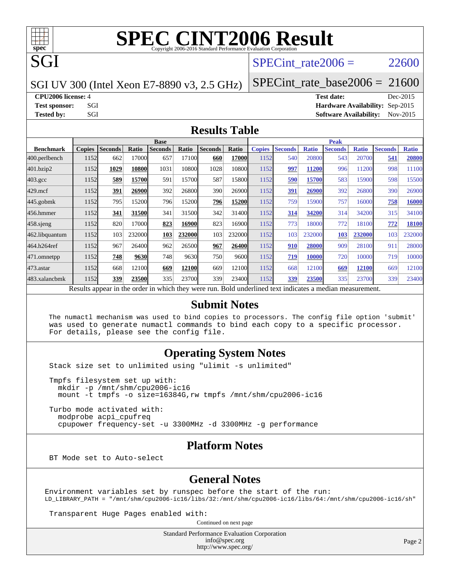

## **[SPEC CINT2006 Result](http://www.spec.org/auto/cpu2006/Docs/result-fields.html#SPECCINT2006Result)**

SPECint rate $2006 = 22600$ 

SGI UV 300 (Intel Xeon E7-8890 v3, 2.5 GHz)

SPECint rate base2006 =  $21600$ 

**[CPU2006 license:](http://www.spec.org/auto/cpu2006/Docs/result-fields.html#CPU2006license)** 4 **[Test date:](http://www.spec.org/auto/cpu2006/Docs/result-fields.html#Testdate)** Dec-2015

**[Test sponsor:](http://www.spec.org/auto/cpu2006/Docs/result-fields.html#Testsponsor)** SGI **[Hardware Availability:](http://www.spec.org/auto/cpu2006/Docs/result-fields.html#HardwareAvailability)** Sep-2015 **[Tested by:](http://www.spec.org/auto/cpu2006/Docs/result-fields.html#Testedby)** SGI SOFTWARE SGI SOFTWARE AVAILABILITY: Nov-2015

#### **[Results Table](http://www.spec.org/auto/cpu2006/Docs/result-fields.html#ResultsTable)**

|                                                                                                          | <b>Base</b>   |                |        |                |        |                |              | Peak          |                |              |                |              |                |              |
|----------------------------------------------------------------------------------------------------------|---------------|----------------|--------|----------------|--------|----------------|--------------|---------------|----------------|--------------|----------------|--------------|----------------|--------------|
| <b>Benchmark</b>                                                                                         | <b>Copies</b> | <b>Seconds</b> | Ratio  | <b>Seconds</b> | Ratio  | <b>Seconds</b> | Ratio        | <b>Copies</b> | <b>Seconds</b> | <b>Ratio</b> | <b>Seconds</b> | <b>Ratio</b> | <b>Seconds</b> | <b>Ratio</b> |
| 400.perlbench                                                                                            | 1152          | 662            | 17000  | 657            | 17100  | 660            | <b>17000</b> | 1152          | 540            | 20800        | 543            | 20700        | 541            | 20800        |
| 401.bzip2                                                                                                | 1152          | 1029           | 10800  | 1031           | 10800  | 1028           | 10800        | 1152          | 997            | 11200        | 996            | 11200        | 998            | 11100        |
| $403.\mathrm{gcc}$                                                                                       | 1152          | 589            | 15700  | 591            | 15700  | 587            | 15800        | 1152          | 590            | 15700        | 583            | 15900        | 598            | 15500        |
| $429$ .mcf                                                                                               | 1152          | 391            | 26900  | 392            | 26800  | 390            | 26900        | 1152          | 391            | 26900        | 392            | 26800        | 390            | 26900        |
| $445$ .gobmk                                                                                             | 1152          | 795            | 15200  | 796            | 15200  | 796            | 15200        | 1152          | 759            | 15900        | 757            | 16000        | 758            | 16000        |
| 456.hmmer                                                                                                | 1152          | 341            | 31500  | 341            | 31500  | 342            | 31400        | 1152          | 314            | 34200        | 314            | 34200        | 315            | 34100        |
| $458$ sjeng                                                                                              | 1152          | 820            | 17000  | 823            | 16900  | 823            | 16900        | 1152          | 773            | 18000        | 772            | 18100        | 772            | 18100        |
| 462.libquantum                                                                                           | 1152          | 103            | 232000 | 103            | 232000 | 103            | 232000       | 1152          | 103            | 232000       | 103            | 232000       | 103            | 232000       |
| 464.h264ref                                                                                              | 1152          | 967            | 26400  | 962            | 26500  | 967            | 26400        | 1152          | 910            | 28000        | 909            | 28100        | 911            | 28000        |
| 471.omnetpp                                                                                              | 1152          | 748            | 9630   | 748            | 9630   | 750            | 9600         | 1152          | 719            | 10000        | 720            | 10000        | 719            | 10000        |
| $473$ . astar                                                                                            | 1152          | 668            | 12100  | 669            | 12100  | 669            | 12100        | 1152          | 668            | 12100        | 669            | 12100        | 669            | 12100        |
| 483.xalancbmk                                                                                            | 1152          | 339            | 23500  | 335            | 23700  | 339            | 23400        | 1152          | 339            | 23500        | 335            | 23700        | 339            | 23400        |
| Results appear in the order in which they were run. Bold underlined text indicates a median measurement. |               |                |        |                |        |                |              |               |                |              |                |              |                |              |

#### **[Submit Notes](http://www.spec.org/auto/cpu2006/Docs/result-fields.html#SubmitNotes)**

 The numactl mechanism was used to bind copies to processors. The config file option 'submit' was used to generate numactl commands to bind each copy to a specific processor. For details, please see the config file.

#### **[Operating System Notes](http://www.spec.org/auto/cpu2006/Docs/result-fields.html#OperatingSystemNotes)**

Stack size set to unlimited using "ulimit -s unlimited"

```
 Tmpfs filesystem set up with:
  mkdir -p /mnt/shm/cpu2006-ic16
   mount -t tmpfs -o size=16384G,rw tmpfs /mnt/shm/cpu2006-ic16
 Turbo mode activated with:
  modprobe acpi_cpufreq
```
cpupower frequency-set -u 3300MHz -d 3300MHz -g performance

#### **[Platform Notes](http://www.spec.org/auto/cpu2006/Docs/result-fields.html#PlatformNotes)**

BT Mode set to Auto-select

#### **[General Notes](http://www.spec.org/auto/cpu2006/Docs/result-fields.html#GeneralNotes)**

Environment variables set by runspec before the start of the run: LD\_LIBRARY\_PATH = "/mnt/shm/cpu2006-ic16/libs/32:/mnt/shm/cpu2006-ic16/libs/64:/mnt/shm/cpu2006-ic16/sh"

Transparent Huge Pages enabled with:

Continued on next page

Standard Performance Evaluation Corporation [info@spec.org](mailto:info@spec.org) <http://www.spec.org/>

Page 2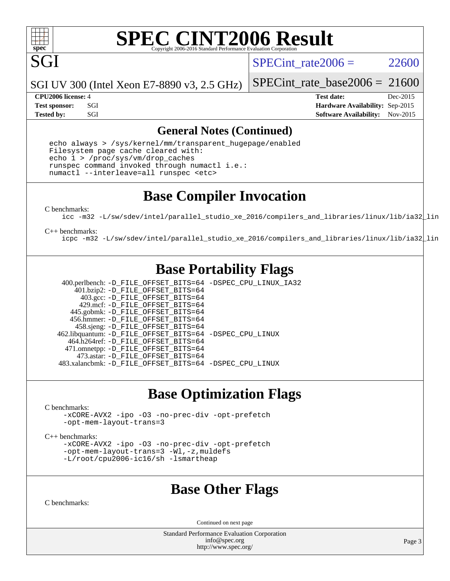

SGI

# **[SPEC CINT2006 Result](http://www.spec.org/auto/cpu2006/Docs/result-fields.html#SPECCINT2006Result)**

SPECint rate $2006 = 22600$ 

SGI UV 300 (Intel Xeon E7-8890 v3, 2.5 GHz)

SPECint rate base2006 =  $21600$ 

**[CPU2006 license:](http://www.spec.org/auto/cpu2006/Docs/result-fields.html#CPU2006license)** 4 **[Test date:](http://www.spec.org/auto/cpu2006/Docs/result-fields.html#Testdate)** Dec-2015 **[Test sponsor:](http://www.spec.org/auto/cpu2006/Docs/result-fields.html#Testsponsor)** SGI **[Hardware Availability:](http://www.spec.org/auto/cpu2006/Docs/result-fields.html#HardwareAvailability)** Sep-2015 **[Tested by:](http://www.spec.org/auto/cpu2006/Docs/result-fields.html#Testedby)** SGI SOFTWARE AVAILABILITY: Nov-2015

#### **[General Notes \(Continued\)](http://www.spec.org/auto/cpu2006/Docs/result-fields.html#GeneralNotes)**

 echo always > /sys/kernel/mm/transparent\_hugepage/enabled Filesystem page cache cleared with: echo 1 > /proc/sys/vm/drop\_caches runspec command invoked through numactl i.e.: numactl --interleave=all runspec <etc>

#### **[Base Compiler Invocation](http://www.spec.org/auto/cpu2006/Docs/result-fields.html#BaseCompilerInvocation)**

[C benchmarks](http://www.spec.org/auto/cpu2006/Docs/result-fields.html#Cbenchmarks):

[icc -m32 -L/sw/sdev/intel/parallel\\_studio\\_xe\\_2016/compilers\\_and\\_libraries/linux/lib/ia32\\_lin](http://www.spec.org/cpu2006/results/res2016q1/cpu2006-20151223-38483.flags.html#user_CCbase_intel_icc_175544bd4aa70dd53389ddf165dc231b)

#### [C++ benchmarks:](http://www.spec.org/auto/cpu2006/Docs/result-fields.html#CXXbenchmarks)

[icpc -m32 -L/sw/sdev/intel/parallel\\_studio\\_xe\\_2016/compilers\\_and\\_libraries/linux/lib/ia32\\_lin](http://www.spec.org/cpu2006/results/res2016q1/cpu2006-20151223-38483.flags.html#user_CXXbase_intel_icpc_72e6d55f8bd78425cbd81c19900bd1a9)

### **[Base Portability Flags](http://www.spec.org/auto/cpu2006/Docs/result-fields.html#BasePortabilityFlags)**

 400.perlbench: [-D\\_FILE\\_OFFSET\\_BITS=64](http://www.spec.org/cpu2006/results/res2016q1/cpu2006-20151223-38483.flags.html#user_basePORTABILITY400_perlbench_file_offset_bits_64_438cf9856305ebd76870a2c6dc2689ab) [-DSPEC\\_CPU\\_LINUX\\_IA32](http://www.spec.org/cpu2006/results/res2016q1/cpu2006-20151223-38483.flags.html#b400.perlbench_baseCPORTABILITY_DSPEC_CPU_LINUX_IA32) 401.bzip2: [-D\\_FILE\\_OFFSET\\_BITS=64](http://www.spec.org/cpu2006/results/res2016q1/cpu2006-20151223-38483.flags.html#user_basePORTABILITY401_bzip2_file_offset_bits_64_438cf9856305ebd76870a2c6dc2689ab) 403.gcc: [-D\\_FILE\\_OFFSET\\_BITS=64](http://www.spec.org/cpu2006/results/res2016q1/cpu2006-20151223-38483.flags.html#user_basePORTABILITY403_gcc_file_offset_bits_64_438cf9856305ebd76870a2c6dc2689ab) 429.mcf: [-D\\_FILE\\_OFFSET\\_BITS=64](http://www.spec.org/cpu2006/results/res2016q1/cpu2006-20151223-38483.flags.html#user_basePORTABILITY429_mcf_file_offset_bits_64_438cf9856305ebd76870a2c6dc2689ab) 445.gobmk: [-D\\_FILE\\_OFFSET\\_BITS=64](http://www.spec.org/cpu2006/results/res2016q1/cpu2006-20151223-38483.flags.html#user_basePORTABILITY445_gobmk_file_offset_bits_64_438cf9856305ebd76870a2c6dc2689ab) 456.hmmer: [-D\\_FILE\\_OFFSET\\_BITS=64](http://www.spec.org/cpu2006/results/res2016q1/cpu2006-20151223-38483.flags.html#user_basePORTABILITY456_hmmer_file_offset_bits_64_438cf9856305ebd76870a2c6dc2689ab) 458.sjeng: [-D\\_FILE\\_OFFSET\\_BITS=64](http://www.spec.org/cpu2006/results/res2016q1/cpu2006-20151223-38483.flags.html#user_basePORTABILITY458_sjeng_file_offset_bits_64_438cf9856305ebd76870a2c6dc2689ab) 462.libquantum: [-D\\_FILE\\_OFFSET\\_BITS=64](http://www.spec.org/cpu2006/results/res2016q1/cpu2006-20151223-38483.flags.html#user_basePORTABILITY462_libquantum_file_offset_bits_64_438cf9856305ebd76870a2c6dc2689ab) [-DSPEC\\_CPU\\_LINUX](http://www.spec.org/cpu2006/results/res2016q1/cpu2006-20151223-38483.flags.html#b462.libquantum_baseCPORTABILITY_DSPEC_CPU_LINUX) 464.h264ref: [-D\\_FILE\\_OFFSET\\_BITS=64](http://www.spec.org/cpu2006/results/res2016q1/cpu2006-20151223-38483.flags.html#user_basePORTABILITY464_h264ref_file_offset_bits_64_438cf9856305ebd76870a2c6dc2689ab) 471.omnetpp: [-D\\_FILE\\_OFFSET\\_BITS=64](http://www.spec.org/cpu2006/results/res2016q1/cpu2006-20151223-38483.flags.html#user_basePORTABILITY471_omnetpp_file_offset_bits_64_438cf9856305ebd76870a2c6dc2689ab) 473.astar: [-D\\_FILE\\_OFFSET\\_BITS=64](http://www.spec.org/cpu2006/results/res2016q1/cpu2006-20151223-38483.flags.html#user_basePORTABILITY473_astar_file_offset_bits_64_438cf9856305ebd76870a2c6dc2689ab) 483.xalancbmk: [-D\\_FILE\\_OFFSET\\_BITS=64](http://www.spec.org/cpu2006/results/res2016q1/cpu2006-20151223-38483.flags.html#user_basePORTABILITY483_xalancbmk_file_offset_bits_64_438cf9856305ebd76870a2c6dc2689ab) [-DSPEC\\_CPU\\_LINUX](http://www.spec.org/cpu2006/results/res2016q1/cpu2006-20151223-38483.flags.html#b483.xalancbmk_baseCXXPORTABILITY_DSPEC_CPU_LINUX)

### **[Base Optimization Flags](http://www.spec.org/auto/cpu2006/Docs/result-fields.html#BaseOptimizationFlags)**

[C benchmarks](http://www.spec.org/auto/cpu2006/Docs/result-fields.html#Cbenchmarks):

[-xCORE-AVX2](http://www.spec.org/cpu2006/results/res2016q1/cpu2006-20151223-38483.flags.html#user_CCbase_f-xAVX2_5f5fc0cbe2c9f62c816d3e45806c70d7) [-ipo](http://www.spec.org/cpu2006/results/res2016q1/cpu2006-20151223-38483.flags.html#user_CCbase_f-ipo) [-O3](http://www.spec.org/cpu2006/results/res2016q1/cpu2006-20151223-38483.flags.html#user_CCbase_f-O3) [-no-prec-div](http://www.spec.org/cpu2006/results/res2016q1/cpu2006-20151223-38483.flags.html#user_CCbase_f-no-prec-div) [-opt-prefetch](http://www.spec.org/cpu2006/results/res2016q1/cpu2006-20151223-38483.flags.html#user_CCbase_f-opt-prefetch) [-opt-mem-layout-trans=3](http://www.spec.org/cpu2006/results/res2016q1/cpu2006-20151223-38483.flags.html#user_CCbase_f-opt-mem-layout-trans_a7b82ad4bd7abf52556d4961a2ae94d5)

[C++ benchmarks:](http://www.spec.org/auto/cpu2006/Docs/result-fields.html#CXXbenchmarks)

[-xCORE-AVX2](http://www.spec.org/cpu2006/results/res2016q1/cpu2006-20151223-38483.flags.html#user_CXXbase_f-xAVX2_5f5fc0cbe2c9f62c816d3e45806c70d7) [-ipo](http://www.spec.org/cpu2006/results/res2016q1/cpu2006-20151223-38483.flags.html#user_CXXbase_f-ipo) [-O3](http://www.spec.org/cpu2006/results/res2016q1/cpu2006-20151223-38483.flags.html#user_CXXbase_f-O3) [-no-prec-div](http://www.spec.org/cpu2006/results/res2016q1/cpu2006-20151223-38483.flags.html#user_CXXbase_f-no-prec-div) [-opt-prefetch](http://www.spec.org/cpu2006/results/res2016q1/cpu2006-20151223-38483.flags.html#user_CXXbase_f-opt-prefetch) [-opt-mem-layout-trans=3](http://www.spec.org/cpu2006/results/res2016q1/cpu2006-20151223-38483.flags.html#user_CXXbase_f-opt-mem-layout-trans_a7b82ad4bd7abf52556d4961a2ae94d5) [-Wl,-z,muldefs](http://www.spec.org/cpu2006/results/res2016q1/cpu2006-20151223-38483.flags.html#user_CXXbase_link_force_multiple1_74079c344b956b9658436fd1b6dd3a8a) [-L/root/cpu2006-ic16/sh -lsmartheap](http://www.spec.org/cpu2006/results/res2016q1/cpu2006-20151223-38483.flags.html#user_CXXbase_SmartHeap_90e2a47385374c82c7a200e582cf7c4b)

#### **[Base Other Flags](http://www.spec.org/auto/cpu2006/Docs/result-fields.html#BaseOtherFlags)**

[C benchmarks](http://www.spec.org/auto/cpu2006/Docs/result-fields.html#Cbenchmarks):

Continued on next page

Standard Performance Evaluation Corporation [info@spec.org](mailto:info@spec.org) <http://www.spec.org/>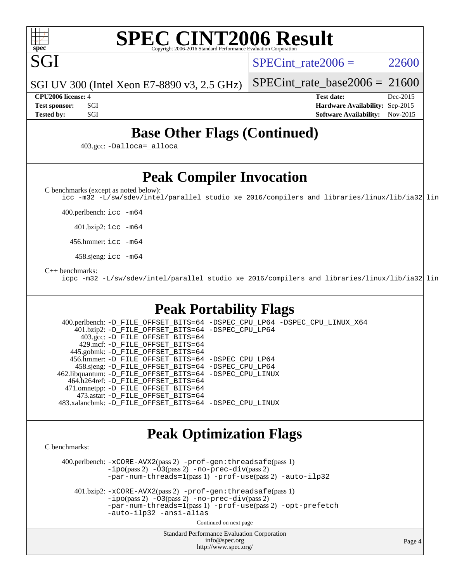

SGI

#### **[SPEC CINT2006 Result](http://www.spec.org/auto/cpu2006/Docs/result-fields.html#SPECCINT2006Result)** Copyright 2006-2016 Standard Performance Evaluation C

 $SPECTnt rate2006 = 22600$ 

SGI UV 300 (Intel Xeon E7-8890 v3, 2.5 GHz)

**[Test sponsor:](http://www.spec.org/auto/cpu2006/Docs/result-fields.html#Testsponsor)** SGI **[Hardware Availability:](http://www.spec.org/auto/cpu2006/Docs/result-fields.html#HardwareAvailability)** Sep-2015 **[Tested by:](http://www.spec.org/auto/cpu2006/Docs/result-fields.html#Testedby)** SGI SOFTWARE AVAILABILITY: Nov-2015

SPECint rate base2006 =  $21600$ **[CPU2006 license:](http://www.spec.org/auto/cpu2006/Docs/result-fields.html#CPU2006license)** 4 **[Test date:](http://www.spec.org/auto/cpu2006/Docs/result-fields.html#Testdate)** Dec-2015

**[Base Other Flags \(Continued\)](http://www.spec.org/auto/cpu2006/Docs/result-fields.html#BaseOtherFlags)**

403.gcc: [-Dalloca=\\_alloca](http://www.spec.org/cpu2006/results/res2016q1/cpu2006-20151223-38483.flags.html#b403.gcc_baseEXTRA_CFLAGS_Dalloca_be3056838c12de2578596ca5467af7f3)

### **[Peak Compiler Invocation](http://www.spec.org/auto/cpu2006/Docs/result-fields.html#PeakCompilerInvocation)**

[C benchmarks \(except as noted below\)](http://www.spec.org/auto/cpu2006/Docs/result-fields.html#Cbenchmarksexceptasnotedbelow):

[icc -m32 -L/sw/sdev/intel/parallel\\_studio\\_xe\\_2016/compilers\\_and\\_libraries/linux/lib/ia32\\_lin](http://www.spec.org/cpu2006/results/res2016q1/cpu2006-20151223-38483.flags.html#user_CCpeak_intel_icc_175544bd4aa70dd53389ddf165dc231b)

400.perlbench: [icc -m64](http://www.spec.org/cpu2006/results/res2016q1/cpu2006-20151223-38483.flags.html#user_peakCCLD400_perlbench_intel_icc_64bit_bda6cc9af1fdbb0edc3795bac97ada53)

401.bzip2: [icc -m64](http://www.spec.org/cpu2006/results/res2016q1/cpu2006-20151223-38483.flags.html#user_peakCCLD401_bzip2_intel_icc_64bit_bda6cc9af1fdbb0edc3795bac97ada53)

456.hmmer: [icc -m64](http://www.spec.org/cpu2006/results/res2016q1/cpu2006-20151223-38483.flags.html#user_peakCCLD456_hmmer_intel_icc_64bit_bda6cc9af1fdbb0edc3795bac97ada53)

458.sjeng: [icc -m64](http://www.spec.org/cpu2006/results/res2016q1/cpu2006-20151223-38483.flags.html#user_peakCCLD458_sjeng_intel_icc_64bit_bda6cc9af1fdbb0edc3795bac97ada53)

#### [C++ benchmarks:](http://www.spec.org/auto/cpu2006/Docs/result-fields.html#CXXbenchmarks)

[icpc -m32 -L/sw/sdev/intel/parallel\\_studio\\_xe\\_2016/compilers\\_and\\_libraries/linux/lib/ia32\\_lin](http://www.spec.org/cpu2006/results/res2016q1/cpu2006-20151223-38483.flags.html#user_CXXpeak_intel_icpc_72e6d55f8bd78425cbd81c19900bd1a9)

#### **[Peak Portability Flags](http://www.spec.org/auto/cpu2006/Docs/result-fields.html#PeakPortabilityFlags)**

 400.perlbench: [-D\\_FILE\\_OFFSET\\_BITS=64](http://www.spec.org/cpu2006/results/res2016q1/cpu2006-20151223-38483.flags.html#user_peakPORTABILITY400_perlbench_file_offset_bits_64_438cf9856305ebd76870a2c6dc2689ab) [-DSPEC\\_CPU\\_LP64](http://www.spec.org/cpu2006/results/res2016q1/cpu2006-20151223-38483.flags.html#b400.perlbench_peakCPORTABILITY_DSPEC_CPU_LP64) [-DSPEC\\_CPU\\_LINUX\\_X64](http://www.spec.org/cpu2006/results/res2016q1/cpu2006-20151223-38483.flags.html#b400.perlbench_peakCPORTABILITY_DSPEC_CPU_LINUX_X64) 401.bzip2: [-D\\_FILE\\_OFFSET\\_BITS=64](http://www.spec.org/cpu2006/results/res2016q1/cpu2006-20151223-38483.flags.html#user_peakPORTABILITY401_bzip2_file_offset_bits_64_438cf9856305ebd76870a2c6dc2689ab) [-DSPEC\\_CPU\\_LP64](http://www.spec.org/cpu2006/results/res2016q1/cpu2006-20151223-38483.flags.html#suite_peakCPORTABILITY401_bzip2_DSPEC_CPU_LP64) 403.gcc: [-D\\_FILE\\_OFFSET\\_BITS=64](http://www.spec.org/cpu2006/results/res2016q1/cpu2006-20151223-38483.flags.html#user_peakPORTABILITY403_gcc_file_offset_bits_64_438cf9856305ebd76870a2c6dc2689ab) 429.mcf: [-D\\_FILE\\_OFFSET\\_BITS=64](http://www.spec.org/cpu2006/results/res2016q1/cpu2006-20151223-38483.flags.html#user_peakPORTABILITY429_mcf_file_offset_bits_64_438cf9856305ebd76870a2c6dc2689ab) 445.gobmk: [-D\\_FILE\\_OFFSET\\_BITS=64](http://www.spec.org/cpu2006/results/res2016q1/cpu2006-20151223-38483.flags.html#user_peakPORTABILITY445_gobmk_file_offset_bits_64_438cf9856305ebd76870a2c6dc2689ab) 456.hmmer: [-D\\_FILE\\_OFFSET\\_BITS=64](http://www.spec.org/cpu2006/results/res2016q1/cpu2006-20151223-38483.flags.html#user_peakPORTABILITY456_hmmer_file_offset_bits_64_438cf9856305ebd76870a2c6dc2689ab) [-DSPEC\\_CPU\\_LP64](http://www.spec.org/cpu2006/results/res2016q1/cpu2006-20151223-38483.flags.html#suite_peakCPORTABILITY456_hmmer_DSPEC_CPU_LP64) 458.sjeng: [-D\\_FILE\\_OFFSET\\_BITS=64](http://www.spec.org/cpu2006/results/res2016q1/cpu2006-20151223-38483.flags.html#user_peakPORTABILITY458_sjeng_file_offset_bits_64_438cf9856305ebd76870a2c6dc2689ab) [-DSPEC\\_CPU\\_LP64](http://www.spec.org/cpu2006/results/res2016q1/cpu2006-20151223-38483.flags.html#suite_peakCPORTABILITY458_sjeng_DSPEC_CPU_LP64) 462.libquantum: [-D\\_FILE\\_OFFSET\\_BITS=64](http://www.spec.org/cpu2006/results/res2016q1/cpu2006-20151223-38483.flags.html#user_peakPORTABILITY462_libquantum_file_offset_bits_64_438cf9856305ebd76870a2c6dc2689ab) [-DSPEC\\_CPU\\_LINUX](http://www.spec.org/cpu2006/results/res2016q1/cpu2006-20151223-38483.flags.html#b462.libquantum_peakCPORTABILITY_DSPEC_CPU_LINUX) 464.h264ref: [-D\\_FILE\\_OFFSET\\_BITS=64](http://www.spec.org/cpu2006/results/res2016q1/cpu2006-20151223-38483.flags.html#user_peakPORTABILITY464_h264ref_file_offset_bits_64_438cf9856305ebd76870a2c6dc2689ab) 471.omnetpp: [-D\\_FILE\\_OFFSET\\_BITS=64](http://www.spec.org/cpu2006/results/res2016q1/cpu2006-20151223-38483.flags.html#user_peakPORTABILITY471_omnetpp_file_offset_bits_64_438cf9856305ebd76870a2c6dc2689ab) 473.astar: [-D\\_FILE\\_OFFSET\\_BITS=64](http://www.spec.org/cpu2006/results/res2016q1/cpu2006-20151223-38483.flags.html#user_peakPORTABILITY473_astar_file_offset_bits_64_438cf9856305ebd76870a2c6dc2689ab) 483.xalancbmk: [-D\\_FILE\\_OFFSET\\_BITS=64](http://www.spec.org/cpu2006/results/res2016q1/cpu2006-20151223-38483.flags.html#user_peakPORTABILITY483_xalancbmk_file_offset_bits_64_438cf9856305ebd76870a2c6dc2689ab) [-DSPEC\\_CPU\\_LINUX](http://www.spec.org/cpu2006/results/res2016q1/cpu2006-20151223-38483.flags.html#b483.xalancbmk_peakCXXPORTABILITY_DSPEC_CPU_LINUX)

#### **[Peak Optimization Flags](http://www.spec.org/auto/cpu2006/Docs/result-fields.html#PeakOptimizationFlags)**

[C benchmarks](http://www.spec.org/auto/cpu2006/Docs/result-fields.html#Cbenchmarks):

 400.perlbench: [-xCORE-AVX2](http://www.spec.org/cpu2006/results/res2016q1/cpu2006-20151223-38483.flags.html#user_peakPASS2_CFLAGSPASS2_LDCFLAGS400_perlbench_f-xAVX2_5f5fc0cbe2c9f62c816d3e45806c70d7)(pass 2) [-prof-gen:threadsafe](http://www.spec.org/cpu2006/results/res2016q1/cpu2006-20151223-38483.flags.html#user_peakPASS1_CFLAGSPASS1_LDCFLAGS400_perlbench_prof_gen_21a26eb79f378b550acd7bec9fe4467a)(pass 1)  $-i\text{po}(pass 2) -\tilde{O}3(pass 2)$  [-no-prec-div](http://www.spec.org/cpu2006/results/res2016q1/cpu2006-20151223-38483.flags.html#user_peakPASS2_CFLAGSPASS2_LDCFLAGS400_perlbench_f-no-prec-div)(pass 2) [-par-num-threads=1](http://www.spec.org/cpu2006/results/res2016q1/cpu2006-20151223-38483.flags.html#user_peakPASS1_CFLAGSPASS1_LDCFLAGS400_perlbench_par_num_threads_786a6ff141b4e9e90432e998842df6c2)(pass 1) [-prof-use](http://www.spec.org/cpu2006/results/res2016q1/cpu2006-20151223-38483.flags.html#user_peakPASS2_CFLAGSPASS2_LDCFLAGS400_perlbench_prof_use_bccf7792157ff70d64e32fe3e1250b55)(pass 2) [-auto-ilp32](http://www.spec.org/cpu2006/results/res2016q1/cpu2006-20151223-38483.flags.html#user_peakCOPTIMIZE400_perlbench_f-auto-ilp32)

 401.bzip2: [-xCORE-AVX2](http://www.spec.org/cpu2006/results/res2016q1/cpu2006-20151223-38483.flags.html#user_peakPASS2_CFLAGSPASS2_LDCFLAGS401_bzip2_f-xAVX2_5f5fc0cbe2c9f62c816d3e45806c70d7)(pass 2) [-prof-gen:threadsafe](http://www.spec.org/cpu2006/results/res2016q1/cpu2006-20151223-38483.flags.html#user_peakPASS1_CFLAGSPASS1_LDCFLAGS401_bzip2_prof_gen_21a26eb79f378b550acd7bec9fe4467a)(pass 1) [-ipo](http://www.spec.org/cpu2006/results/res2016q1/cpu2006-20151223-38483.flags.html#user_peakPASS2_CFLAGSPASS2_LDCFLAGS401_bzip2_f-ipo)(pass 2) [-O3](http://www.spec.org/cpu2006/results/res2016q1/cpu2006-20151223-38483.flags.html#user_peakPASS2_CFLAGSPASS2_LDCFLAGS401_bzip2_f-O3)(pass 2) [-no-prec-div](http://www.spec.org/cpu2006/results/res2016q1/cpu2006-20151223-38483.flags.html#user_peakPASS2_CFLAGSPASS2_LDCFLAGS401_bzip2_f-no-prec-div)(pass 2) [-par-num-threads=1](http://www.spec.org/cpu2006/results/res2016q1/cpu2006-20151223-38483.flags.html#user_peakPASS1_CFLAGSPASS1_LDCFLAGS401_bzip2_par_num_threads_786a6ff141b4e9e90432e998842df6c2)(pass 1) [-prof-use](http://www.spec.org/cpu2006/results/res2016q1/cpu2006-20151223-38483.flags.html#user_peakPASS2_CFLAGSPASS2_LDCFLAGS401_bzip2_prof_use_bccf7792157ff70d64e32fe3e1250b55)(pass 2) [-opt-prefetch](http://www.spec.org/cpu2006/results/res2016q1/cpu2006-20151223-38483.flags.html#user_peakCOPTIMIZE401_bzip2_f-opt-prefetch) [-auto-ilp32](http://www.spec.org/cpu2006/results/res2016q1/cpu2006-20151223-38483.flags.html#user_peakCOPTIMIZE401_bzip2_f-auto-ilp32) [-ansi-alias](http://www.spec.org/cpu2006/results/res2016q1/cpu2006-20151223-38483.flags.html#user_peakCOPTIMIZE401_bzip2_f-ansi-alias)

Continued on next page

Standard Performance Evaluation Corporation [info@spec.org](mailto:info@spec.org) <http://www.spec.org/>

Page 4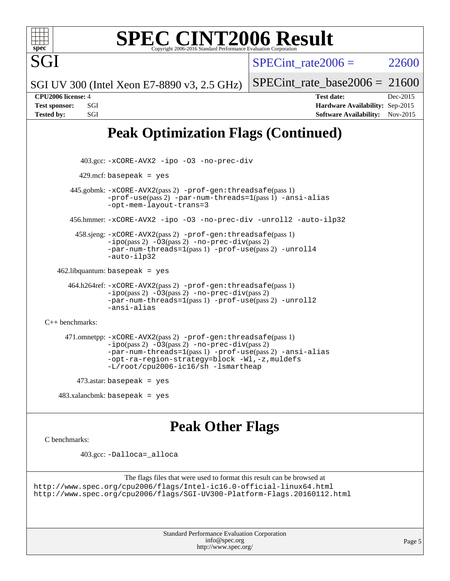

# **[SPEC CINT2006 Result](http://www.spec.org/auto/cpu2006/Docs/result-fields.html#SPECCINT2006Result)**

SPECint rate $2006 = 22600$ 

SPECint rate base2006 =  $21600$ 

SGI UV 300 (Intel Xeon E7-8890 v3, 2.5 GHz)

**[CPU2006 license:](http://www.spec.org/auto/cpu2006/Docs/result-fields.html#CPU2006license)** 4 **[Test date:](http://www.spec.org/auto/cpu2006/Docs/result-fields.html#Testdate)** Dec-2015 **[Test sponsor:](http://www.spec.org/auto/cpu2006/Docs/result-fields.html#Testsponsor)** SGI **[Hardware Availability:](http://www.spec.org/auto/cpu2006/Docs/result-fields.html#HardwareAvailability)** Sep-2015 [Tested by:](http://www.spec.org/auto/cpu2006/Docs/result-fields.html#Testedby) SGI SGI SOFTWARE AVAILABILITY: Nov-2015

## **[Peak Optimization Flags \(Continued\)](http://www.spec.org/auto/cpu2006/Docs/result-fields.html#PeakOptimizationFlags)**

 403.gcc: [-xCORE-AVX2](http://www.spec.org/cpu2006/results/res2016q1/cpu2006-20151223-38483.flags.html#user_peakCOPTIMIZE403_gcc_f-xAVX2_5f5fc0cbe2c9f62c816d3e45806c70d7) [-ipo](http://www.spec.org/cpu2006/results/res2016q1/cpu2006-20151223-38483.flags.html#user_peakCOPTIMIZE403_gcc_f-ipo) [-O3](http://www.spec.org/cpu2006/results/res2016q1/cpu2006-20151223-38483.flags.html#user_peakCOPTIMIZE403_gcc_f-O3) [-no-prec-div](http://www.spec.org/cpu2006/results/res2016q1/cpu2006-20151223-38483.flags.html#user_peakCOPTIMIZE403_gcc_f-no-prec-div)  $429$ .mcf: basepeak = yes 445.gobmk: [-xCORE-AVX2](http://www.spec.org/cpu2006/results/res2016q1/cpu2006-20151223-38483.flags.html#user_peakPASS2_CFLAGSPASS2_LDCFLAGS445_gobmk_f-xAVX2_5f5fc0cbe2c9f62c816d3e45806c70d7)(pass 2) [-prof-gen:threadsafe](http://www.spec.org/cpu2006/results/res2016q1/cpu2006-20151223-38483.flags.html#user_peakPASS1_CFLAGSPASS1_LDCFLAGS445_gobmk_prof_gen_21a26eb79f378b550acd7bec9fe4467a)(pass 1) [-prof-use](http://www.spec.org/cpu2006/results/res2016q1/cpu2006-20151223-38483.flags.html#user_peakPASS2_CFLAGSPASS2_LDCFLAGS445_gobmk_prof_use_bccf7792157ff70d64e32fe3e1250b55)(pass 2) [-par-num-threads=1](http://www.spec.org/cpu2006/results/res2016q1/cpu2006-20151223-38483.flags.html#user_peakPASS1_CFLAGSPASS1_LDCFLAGS445_gobmk_par_num_threads_786a6ff141b4e9e90432e998842df6c2)(pass 1) [-ansi-alias](http://www.spec.org/cpu2006/results/res2016q1/cpu2006-20151223-38483.flags.html#user_peakCOPTIMIZE445_gobmk_f-ansi-alias) [-opt-mem-layout-trans=3](http://www.spec.org/cpu2006/results/res2016q1/cpu2006-20151223-38483.flags.html#user_peakCOPTIMIZE445_gobmk_f-opt-mem-layout-trans_a7b82ad4bd7abf52556d4961a2ae94d5) 456.hmmer: [-xCORE-AVX2](http://www.spec.org/cpu2006/results/res2016q1/cpu2006-20151223-38483.flags.html#user_peakCOPTIMIZE456_hmmer_f-xAVX2_5f5fc0cbe2c9f62c816d3e45806c70d7) [-ipo](http://www.spec.org/cpu2006/results/res2016q1/cpu2006-20151223-38483.flags.html#user_peakCOPTIMIZE456_hmmer_f-ipo) [-O3](http://www.spec.org/cpu2006/results/res2016q1/cpu2006-20151223-38483.flags.html#user_peakCOPTIMIZE456_hmmer_f-O3) [-no-prec-div](http://www.spec.org/cpu2006/results/res2016q1/cpu2006-20151223-38483.flags.html#user_peakCOPTIMIZE456_hmmer_f-no-prec-div) [-unroll2](http://www.spec.org/cpu2006/results/res2016q1/cpu2006-20151223-38483.flags.html#user_peakCOPTIMIZE456_hmmer_f-unroll_784dae83bebfb236979b41d2422d7ec2) [-auto-ilp32](http://www.spec.org/cpu2006/results/res2016q1/cpu2006-20151223-38483.flags.html#user_peakCOPTIMIZE456_hmmer_f-auto-ilp32) 458.sjeng: [-xCORE-AVX2](http://www.spec.org/cpu2006/results/res2016q1/cpu2006-20151223-38483.flags.html#user_peakPASS2_CFLAGSPASS2_LDCFLAGS458_sjeng_f-xAVX2_5f5fc0cbe2c9f62c816d3e45806c70d7)(pass 2) [-prof-gen:threadsafe](http://www.spec.org/cpu2006/results/res2016q1/cpu2006-20151223-38483.flags.html#user_peakPASS1_CFLAGSPASS1_LDCFLAGS458_sjeng_prof_gen_21a26eb79f378b550acd7bec9fe4467a)(pass 1)  $-i\text{po}(pass 2)$   $-03(pass 2)$   $-no-prec-div(pass 2)$  $-no-prec-div(pass 2)$ [-par-num-threads=1](http://www.spec.org/cpu2006/results/res2016q1/cpu2006-20151223-38483.flags.html#user_peakPASS1_CFLAGSPASS1_LDCFLAGS458_sjeng_par_num_threads_786a6ff141b4e9e90432e998842df6c2)(pass 1) [-prof-use](http://www.spec.org/cpu2006/results/res2016q1/cpu2006-20151223-38483.flags.html#user_peakPASS2_CFLAGSPASS2_LDCFLAGS458_sjeng_prof_use_bccf7792157ff70d64e32fe3e1250b55)(pass 2) [-unroll4](http://www.spec.org/cpu2006/results/res2016q1/cpu2006-20151223-38483.flags.html#user_peakCOPTIMIZE458_sjeng_f-unroll_4e5e4ed65b7fd20bdcd365bec371b81f) [-auto-ilp32](http://www.spec.org/cpu2006/results/res2016q1/cpu2006-20151223-38483.flags.html#user_peakCOPTIMIZE458_sjeng_f-auto-ilp32)  $462$ .libquantum: basepeak = yes 464.h264ref: [-xCORE-AVX2](http://www.spec.org/cpu2006/results/res2016q1/cpu2006-20151223-38483.flags.html#user_peakPASS2_CFLAGSPASS2_LDCFLAGS464_h264ref_f-xAVX2_5f5fc0cbe2c9f62c816d3e45806c70d7)(pass 2) [-prof-gen:threadsafe](http://www.spec.org/cpu2006/results/res2016q1/cpu2006-20151223-38483.flags.html#user_peakPASS1_CFLAGSPASS1_LDCFLAGS464_h264ref_prof_gen_21a26eb79f378b550acd7bec9fe4467a)(pass 1) [-ipo](http://www.spec.org/cpu2006/results/res2016q1/cpu2006-20151223-38483.flags.html#user_peakPASS2_CFLAGSPASS2_LDCFLAGS464_h264ref_f-ipo)(pass 2) [-O3](http://www.spec.org/cpu2006/results/res2016q1/cpu2006-20151223-38483.flags.html#user_peakPASS2_CFLAGSPASS2_LDCFLAGS464_h264ref_f-O3)(pass 2) [-no-prec-div](http://www.spec.org/cpu2006/results/res2016q1/cpu2006-20151223-38483.flags.html#user_peakPASS2_CFLAGSPASS2_LDCFLAGS464_h264ref_f-no-prec-div)(pass 2) [-par-num-threads=1](http://www.spec.org/cpu2006/results/res2016q1/cpu2006-20151223-38483.flags.html#user_peakPASS1_CFLAGSPASS1_LDCFLAGS464_h264ref_par_num_threads_786a6ff141b4e9e90432e998842df6c2)(pass 1) [-prof-use](http://www.spec.org/cpu2006/results/res2016q1/cpu2006-20151223-38483.flags.html#user_peakPASS2_CFLAGSPASS2_LDCFLAGS464_h264ref_prof_use_bccf7792157ff70d64e32fe3e1250b55)(pass 2) [-unroll2](http://www.spec.org/cpu2006/results/res2016q1/cpu2006-20151223-38483.flags.html#user_peakCOPTIMIZE464_h264ref_f-unroll_784dae83bebfb236979b41d2422d7ec2) [-ansi-alias](http://www.spec.org/cpu2006/results/res2016q1/cpu2006-20151223-38483.flags.html#user_peakCOPTIMIZE464_h264ref_f-ansi-alias) [C++ benchmarks:](http://www.spec.org/auto/cpu2006/Docs/result-fields.html#CXXbenchmarks) 471.omnetpp: [-xCORE-AVX2](http://www.spec.org/cpu2006/results/res2016q1/cpu2006-20151223-38483.flags.html#user_peakPASS2_CXXFLAGSPASS2_LDCXXFLAGS471_omnetpp_f-xAVX2_5f5fc0cbe2c9f62c816d3e45806c70d7)(pass 2) [-prof-gen:threadsafe](http://www.spec.org/cpu2006/results/res2016q1/cpu2006-20151223-38483.flags.html#user_peakPASS1_CXXFLAGSPASS1_LDCXXFLAGS471_omnetpp_prof_gen_21a26eb79f378b550acd7bec9fe4467a)(pass 1)  $-i$ po(pass 2)  $-03$ (pass 2)  $-$ no-prec-div(pass 2) [-par-num-threads=1](http://www.spec.org/cpu2006/results/res2016q1/cpu2006-20151223-38483.flags.html#user_peakPASS1_CXXFLAGSPASS1_LDCXXFLAGS471_omnetpp_par_num_threads_786a6ff141b4e9e90432e998842df6c2)(pass 1) [-prof-use](http://www.spec.org/cpu2006/results/res2016q1/cpu2006-20151223-38483.flags.html#user_peakPASS2_CXXFLAGSPASS2_LDCXXFLAGS471_omnetpp_prof_use_bccf7792157ff70d64e32fe3e1250b55)(pass 2) [-ansi-alias](http://www.spec.org/cpu2006/results/res2016q1/cpu2006-20151223-38483.flags.html#user_peakCXXOPTIMIZE471_omnetpp_f-ansi-alias) [-opt-ra-region-strategy=block](http://www.spec.org/cpu2006/results/res2016q1/cpu2006-20151223-38483.flags.html#user_peakCXXOPTIMIZE471_omnetpp_f-opt-ra-region-strategy_a0a37c372d03933b2a18d4af463c1f69) -Wl,-z, muldefs [-L/root/cpu2006-ic16/sh -lsmartheap](http://www.spec.org/cpu2006/results/res2016q1/cpu2006-20151223-38483.flags.html#user_peakEXTRA_LIBS471_omnetpp_SmartHeap_90e2a47385374c82c7a200e582cf7c4b)  $473$ .astar: basepeak = yes 483.xalancbmk: basepeak = yes

**[Peak Other Flags](http://www.spec.org/auto/cpu2006/Docs/result-fields.html#PeakOtherFlags)**

[C benchmarks](http://www.spec.org/auto/cpu2006/Docs/result-fields.html#Cbenchmarks):

403.gcc: [-Dalloca=\\_alloca](http://www.spec.org/cpu2006/results/res2016q1/cpu2006-20151223-38483.flags.html#b403.gcc_peakEXTRA_CFLAGS_Dalloca_be3056838c12de2578596ca5467af7f3)

```
The flags files that were used to format this result can be browsed at
http://www.spec.org/cpu2006/flags/Intel-ic16.0-official-linux64.html
http://www.spec.org/cpu2006/flags/SGI-UV300-Platform-Flags.20160112.html
```
Standard Performance Evaluation Corporation [info@spec.org](mailto:info@spec.org) <http://www.spec.org/>